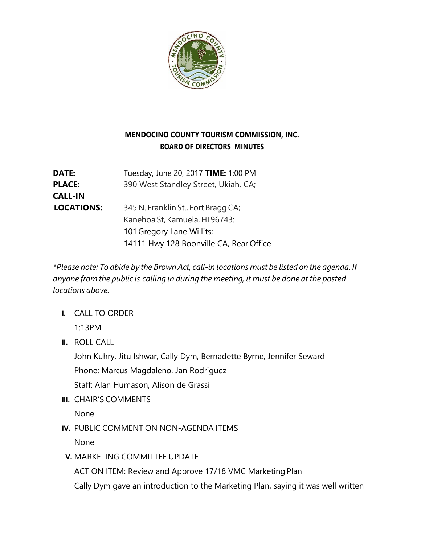

## **MENDOCINO COUNTY TOURISM COMMISSION, INC. BOARD OF DIRECTORS MINUTES**

**DATE:** Tuesday, June 20, 2017 **TIME:** 1:00 PM **PLACE:** 390 West Standley Street, Ukiah, CA; **CALL-IN LOCATIONS:** 345 N. Franklin St., Fort Bragg CA; Kanehoa St, Kamuela, HI 96743: 101 Gregory Lane Willits; 14111 Hwy 128 Boonville CA, Rear Office

*\*Please note: To abide by the Brown Act, call-in locations must be listed on the agenda. If anyone from the public is calling in during the meeting, it must be done at the posted locations above.*

**I.** CALL TO ORDER

1:13PM

**II.** ROLL CALL

John Kuhry, Jitu Ishwar, Cally Dym, Bernadette Byrne, Jennifer Seward Phone: Marcus Magdaleno, Jan Rodriguez

Staff: Alan Humason, Alison de Grassi

**III.** CHAIR'S COMMENTS

None

**IV.** PUBLIC COMMENT ON NON-AGENDA ITEMS

None

**V.** MARKETING COMMITTEE UPDATE

ACTION ITEM: Review and Approve 17/18 VMC Marketing Plan

Cally Dym gave an introduction to the Marketing Plan, saying it was well written